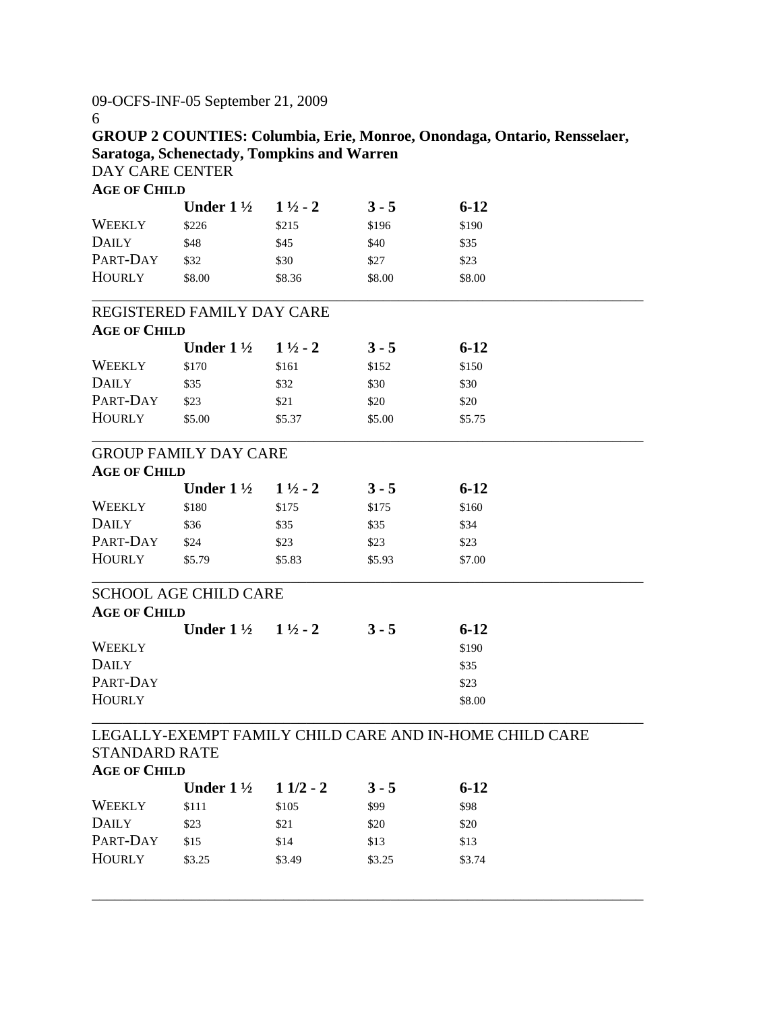09-OCFS-INF-05 September 21, 2009

6

**GROUP 2 COUNTIES: Columbia, Erie, Monroe, Onondaga, Ontario, Rensselaer, Saratoga, Schenectady, Tompkins and Warren**  DAY CARE CENTER

| <b>AGE OF CHILD</b>                         |                              |                    |         |                                                         |
|---------------------------------------------|------------------------------|--------------------|---------|---------------------------------------------------------|
|                                             | Under $1\frac{1}{2}$         | $1\frac{1}{2}$ - 2 | $3 - 5$ | $6 - 12$                                                |
| <b>WEEKLY</b>                               | \$226                        | \$215              | \$196   | \$190                                                   |
| <b>DAILY</b>                                | \$48                         | \$45               | \$40    | \$35                                                    |
| PART-DAY                                    | \$32                         | \$30               | \$27    | \$23                                                    |
| <b>HOURLY</b>                               | \$8.00                       | \$8.36             | \$8.00  | \$8.00                                                  |
|                                             | REGISTERED FAMILY DAY CARE   |                    |         |                                                         |
| <b>AGE OF CHILD</b>                         |                              |                    |         |                                                         |
|                                             | Under $1\frac{1}{2}$         | $1\frac{1}{2} - 2$ | $3 - 5$ | $6 - 12$                                                |
| WEEKLY                                      | \$170                        | \$161              | \$152   | \$150                                                   |
| <b>DAILY</b>                                | \$35                         | \$32               | \$30    | \$30                                                    |
| PART-DAY                                    | \$23                         | \$21               | \$20    | \$20                                                    |
| <b>HOURLY</b>                               | \$5.00                       | \$5.37             | \$5.00  | \$5.75                                                  |
|                                             | <b>GROUP FAMILY DAY CARE</b> |                    |         |                                                         |
| <b>AGE OF CHILD</b>                         |                              |                    |         |                                                         |
|                                             | Under $1\frac{1}{2}$         | $1\frac{1}{2}$ - 2 | $3 - 5$ | $6 - 12$                                                |
| <b>WEEKLY</b>                               | \$180                        | \$175              | \$175   | \$160                                                   |
| <b>DAILY</b>                                | \$36                         | \$35               | \$35    | \$34                                                    |
| PART-DAY                                    | \$24                         | \$23               | \$23    | \$23                                                    |
| <b>HOURLY</b>                               | \$5.79                       | \$5.83             | \$5.93  | \$7.00                                                  |
|                                             | <b>SCHOOL AGE CHILD CARE</b> |                    |         |                                                         |
| <b>AGE OF CHILD</b>                         |                              |                    |         |                                                         |
|                                             | Under $1\frac{1}{2}$         | $1\frac{1}{2}$ - 2 | $3 - 5$ | $6 - 12$                                                |
| <b>WEEKLY</b>                               |                              |                    |         | \$190                                                   |
| <b>DAILY</b>                                |                              |                    |         | \$35                                                    |
| PART-DAY                                    |                              |                    |         | \$23                                                    |
| <b>HOURLY</b>                               |                              |                    |         | \$8.00                                                  |
|                                             |                              |                    |         | LEGALLY-EXEMPT FAMILY CHILD CARE AND IN-HOME CHILD CARE |
| <b>STANDARD RATE</b><br><b>AGE OF CHILD</b> |                              |                    |         |                                                         |
|                                             | Under $1\frac{1}{2}$         | $11/2 - 2$         | $3 - 5$ | $6 - 12$                                                |
| <b>WEEKLY</b>                               | \$111                        | \$105              | \$99    | \$98                                                    |
| <b>DAILY</b>                                | \$23                         | \$21               | \$20    | \$20                                                    |

\_\_\_\_\_\_\_\_\_\_\_\_\_\_\_\_\_\_\_\_\_\_\_\_\_\_\_\_\_\_\_\_\_\_\_\_\_\_\_\_\_\_\_\_\_\_\_\_\_\_\_\_\_\_\_\_\_\_\_\_\_\_\_\_\_\_\_\_\_\_\_\_

PART-DAY \$15 \$14 \$13 \$13 HOURLY \$3.25 \$3.49 \$3.25 \$3.74